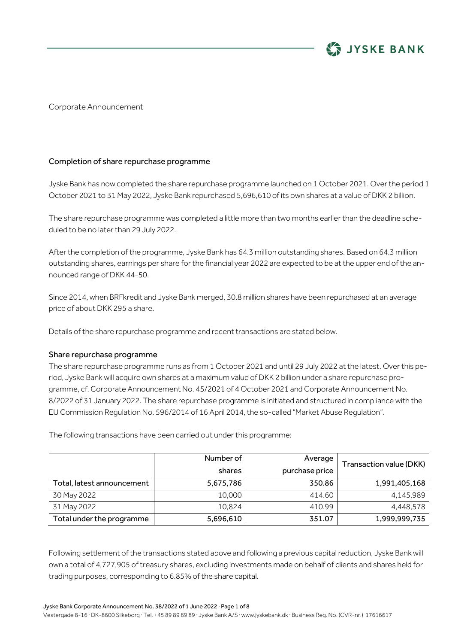

Corporate Announcement

#### Completion of share repurchase programme

Jyske Bank has now completed the share repurchase programme launched on 1 October 2021. Over the period 1 October 2021 to 31 May 2022, Jyske Bank repurchased 5,696,610 of its own shares at a value of DKK 2 billion.

The share repurchase programme was completed a little more than two months earlier than the deadline scheduled to be no later than 29 July 2022.

After the completion of the programme, Jyske Bank has 64.3 million outstanding shares. Based on 64.3 million outstanding shares, earnings per share for the financial year 2022 are expected to be at the upper end of the announced range of DKK 44-50.

Since 2014, when BRFkredit and Jyske Bank merged, 30.8 million shares have been repurchased at an average price of about DKK 295 a share.

Details of the share repurchase programme and recent transactions are stated below.

#### Share repurchase programme

The share repurchase programme runs as from 1 October 2021 and until 29 July 2022 at the latest. Over this period, Jyske Bank will acquire own shares at a maximum value of DKK 2 billion under a share repurchase programme, cf. Corporate Announcement No. 45/2021 of 4 October 2021 and Corporate Announcement No. 8/2022 of 31 January 2022. The share repurchase programme is initiated and structured in compliance with the EU Commission Regulation No. 596/2014 of 16 April 2014, the so-called "Market Abuse Regulation".

|                            | Number of<br>shares | Average<br>purchase price | Transaction value (DKK) |  |
|----------------------------|---------------------|---------------------------|-------------------------|--|
| Total, latest announcement | 5,675,786           | 350.86                    | 1,991,405,168           |  |
| 30 May 2022                | 10,000              | 414.60                    | 4,145,989               |  |
| 31 May 2022                | 10,824              | 410.99                    | 4,448,578               |  |
| Total under the programme  | 5,696,610           | 351.07                    | 1,999,999,735           |  |

The following transactions have been carried out under this programme:

Following settlement of the transactions stated above and following a previous capital reduction, Jyske Bank will own a total of 4,727,905 of treasury shares, excluding investments made on behalf of clients and shares held for trading purposes, corresponding to 6.85% of the share capital.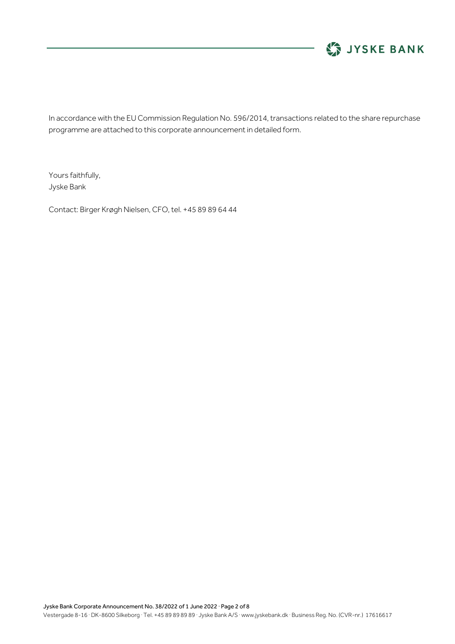

In accordance with the EU Commission Regulation No. 596/2014, transactions related to the share repurchase programme are attached to this corporate announcement in detailed form.

Yours faithfully, Jyske Bank

Contact: Birger Krøgh Nielsen, CFO, tel. +45 89 89 64 44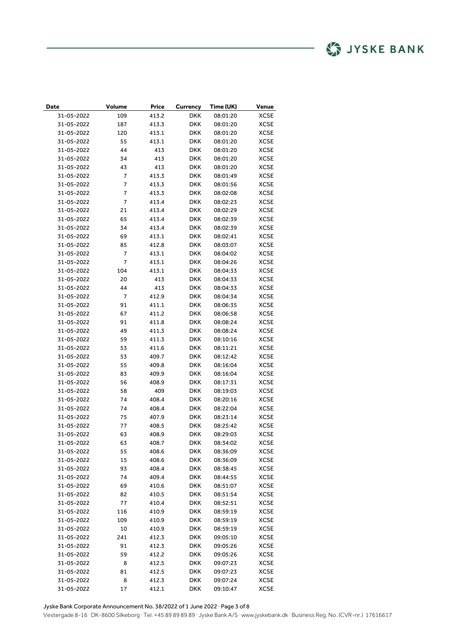| Date       | Volume         | <b>Price</b> | Currency   | Time (UK) | Venue       |
|------------|----------------|--------------|------------|-----------|-------------|
| 31-05-2022 | 109            | 413.2        | DKK        | 08:01:20  | <b>XCSE</b> |
| 31-05-2022 | 187            | 413.3        | DKK        | 08:01:20  | XCSE        |
| 31-05-2022 | 120            | 413.1        | DKK        | 08:01:20  | XCSE        |
| 31-05-2022 | 55             | 413.1        | DKK        | 08:01:20  | XCSE        |
| 31-05-2022 | 44             | 413          | DKK        | 08:01:20  | <b>XCSE</b> |
| 31-05-2022 | 34             | 413          | DKK        | 08:01:20  | XCSE        |
| 31-05-2022 | 43             | 413          | DKK        | 08:01:20  | XCSE        |
| 31-05-2022 | 7              | 413.3        | DKK        | 08:01:49  | XCSE        |
| 31-05-2022 | $\overline{7}$ | 413.3        | DKK        | 08:01:56  | XCSE        |
| 31-05-2022 | 7              | 413.3        | DKK        | 08:02:08  | XCSE        |
| 31-05-2022 | 7              | 413.4        | DKK        | 08:02:23  | <b>XCSE</b> |
| 31-05-2022 | 21             | 413.4        | DKK        | 08:02:29  | XCSE        |
| 31-05-2022 | 65             | 413.4        | DKK        | 08:02:39  | <b>XCSE</b> |
| 31-05-2022 | 34             | 413.4        | DKK        | 08:02:39  | XCSE        |
| 31-05-2022 | 69             | 413.1        | <b>DKK</b> | 08:02:41  | <b>XCSE</b> |
| 31-05-2022 | 85             | 412.8        | DKK        | 08:03:07  | XCSE        |
| 31-05-2022 | $\overline{7}$ | 413.1        | DKK        | 08:04:02  | <b>XCSE</b> |
| 31-05-2022 | 7              | 413.1        | DKK        | 08:04:26  | XCSE        |
| 31-05-2022 | 104            | 413.1        | DKK        | 08:04:33  | <b>XCSE</b> |
| 31-05-2022 | 20             | 413          | DKK        | 08:04:33  | XCSE        |
| 31-05-2022 | 44             | 413          | DKK        | 08:04:33  | <b>XCSE</b> |
| 31-05-2022 | 7              | 412.9        | DKK        | 08:04:34  | XCSE        |
| 31-05-2022 | 91             | 411.1        | DKK        | 08:06:35  | XCSE        |
| 31-05-2022 | 67             | 411.2        | DKK        | 08:06:58  | <b>XCSE</b> |
| 31-05-2022 | 91             | 411.8        | DKK        | 08:08:24  | XCSE        |
| 31-05-2022 | 49             | 411.3        | DKK        | 08:08:24  | XCSE        |
| 31-05-2022 | 59             | 411.3        | DKK        | 08:10:16  | XCSE        |
| 31-05-2022 | 53             | 411.6        | DKK        | 08:11:21  | XCSE        |
| 31-05-2022 | 53             | 409.7        | DKK        | 08:12:42  | XCSE        |
| 31-05-2022 | 55             | 409.8        | DKK        | 08:16:04  | XCSE        |
| 31-05-2022 | 83             | 409.9        | DKK        | 08:16:04  | <b>XCSE</b> |
| 31-05-2022 | 56             | 408.9        | DKK        | 08:17:31  | XCSE        |
| 31-05-2022 | 58             | 409          | DKK        | 08:19:03  | XCSE        |
| 31-05-2022 | 74             | 408.4        | DKK        | 08:20:16  | <b>XCSE</b> |
| 31-05-2022 | 74             | 408.4        | DKK        | 08:22:04  | XCSE        |
| 31-05-2022 | 75             | 407.9        | DKK        | 08:23:14  | <b>XCSE</b> |
| 31-05-2022 | 77             | 408.5        | DKK        | 08:25:42  | <b>XCSE</b> |
| 31-05-2022 | 63             | 408.9        | DKK        | 08:29:03  | <b>XCSE</b> |
| 31-05-2022 | 63             | 408.7        | <b>DKK</b> | 08:34:02  | <b>XCSE</b> |
| 31-05-2022 | 55             | 408.6        | <b>DKK</b> | 08:36:09  | <b>XCSE</b> |
| 31-05-2022 | 15             | 408.6        | DKK        | 08:36:09  | <b>XCSE</b> |
| 31-05-2022 | 93             | 408.4        | DKK        | 08:38:45  | <b>XCSE</b> |
| 31-05-2022 | 74             | 409.4        | DKK        | 08:44:55  | <b>XCSE</b> |
| 31-05-2022 | 69             | 410.6        | DKK        | 08:51:07  | <b>XCSE</b> |
| 31-05-2022 | 82             | 410.5        | DKK        | 08:51:54  | <b>XCSE</b> |
| 31-05-2022 | 77             | 410.4        | DKK        | 08:52:51  | <b>XCSE</b> |
| 31-05-2022 | 116            | 410.9        | DKK        | 08:59:19  | <b>XCSE</b> |
| 31-05-2022 | 109            | 410.9        | DKK        | 08:59:19  | <b>XCSE</b> |
| 31-05-2022 | 10             | 410.9        | DKK        | 08:59:19  | <b>XCSE</b> |
| 31-05-2022 | 241            | 412.3        | DKK        | 09:05:10  | <b>XCSE</b> |
| 31-05-2022 | 91             | 412.3        | DKK        | 09:05:26  | <b>XCSE</b> |
| 31-05-2022 | 59             | 412.2        | DKK        | 09:05:26  | <b>XCSE</b> |
| 31-05-2022 | 8              | 412.5        | DKK        | 09:07:23  | <b>XCSE</b> |
| 31-05-2022 | 81             | 412.5        | DKK        | 09:07:23  | <b>XCSE</b> |
| 31-05-2022 | 8              | 412.3        | DKK        | 09:07:24  | <b>XCSE</b> |
| 31-05-2022 | 17             | 412.1        | DKK        | 09:10:47  | <b>XCSE</b> |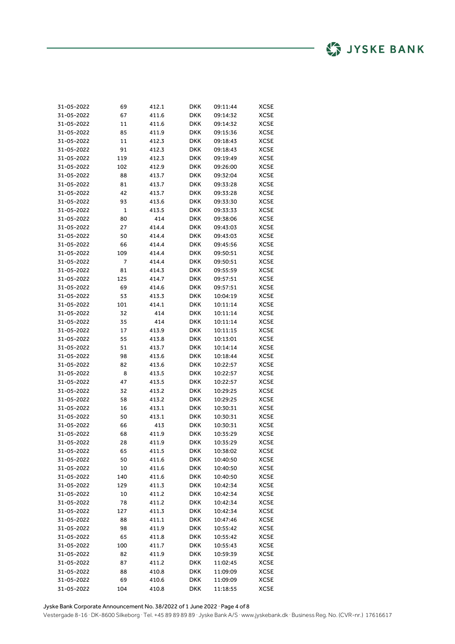| 31-05-2022 | 69  | 412.1          | DKK        | 09:11:44 | XCSE        |
|------------|-----|----------------|------------|----------|-------------|
| 31-05-2022 | 67  | 411.6          | DKK        | 09:14:32 | XCSE        |
| 31-05-2022 | 11  | 411.6          | DKK        | 09:14:32 | XCSE        |
| 31-05-2022 | 85  | 411.9          | DKK        | 09:15:36 | XCSE        |
| 31-05-2022 | 11  | 412.3          | DKK        | 09:18:43 | XCSE        |
| 31-05-2022 | 91  | 412.3          | DKK        | 09:18:43 | XCSE        |
| 31-05-2022 | 119 | 412.3          | DKK        | 09:19:49 | XCSE        |
| 31-05-2022 | 102 | 412.9          | DKK        | 09:26:00 | XCSE        |
| 31-05-2022 | 88  | 413.7          | DKK        | 09:32:04 | XCSE        |
| 31-05-2022 | 81  | 413.7          | DKK        | 09:33:28 | XCSE        |
| 31-05-2022 | 42  | 413.7          | DKK        | 09:33:28 | XCSE        |
| 31-05-2022 | 93  | 413.6          | DKK        | 09:33:30 | XCSE        |
| 31-05-2022 | 1   | 413.5          | DKK        | 09:33:33 | XCSE        |
| 31-05-2022 | 80  | 414            | DKK        | 09:38:06 | XCSE        |
| 31-05-2022 | 27  | 414.4          | DKK        | 09:43:03 | <b>XCSE</b> |
| 31-05-2022 | 50  | 414.4          | DKK        | 09:43:03 | XCSE        |
| 31-05-2022 | 66  | 414.4          | DKK        | 09:45:56 | XCSE        |
| 31-05-2022 | 109 | 414.4          | DKK        | 09:50:51 | XCSE        |
| 31-05-2022 | 7   | 414.4          | DKK        | 09:50:51 | XCSE        |
| 31-05-2022 | 81  | 414.3          | DKK        | 09:55:59 | XCSE        |
| 31-05-2022 | 125 | 414.7          | <b>DKK</b> | 09:57:51 | XCSE        |
| 31-05-2022 | 69  | 414.6          | DKK        | 09:57:51 | XCSE        |
| 31-05-2022 | 53  | 413.3          | DKK        | 10:04:19 | XCSE        |
| 31-05-2022 | 101 | 414.1          | DKK        | 10:11:14 | XCSE        |
| 31-05-2022 | 32  | 414            | DKK        | 10:11:14 | XCSE        |
| 31-05-2022 | 35  | 414            | DKK        | 10:11:14 | XCSE        |
| 31-05-2022 | 17  | 413.9          | DKK        | 10:11:15 | XCSE        |
| 31-05-2022 | 55  | 413.8          | DKK        | 10:13:01 | XCSE        |
| 31-05-2022 | 51  | 413.7          | DKK        | 10:14:14 | XCSE        |
| 31-05-2022 | 98  | 413.6          | DKK        | 10:18:44 | XCSE        |
| 31-05-2022 | 82  | 413.6          | DKK        | 10:22:57 | <b>XCSE</b> |
| 31-05-2022 | 8   | 413.5          | DKK        | 10:22:57 | XCSE        |
| 31-05-2022 | 47  | 413.5          | DKK        | 10:22:57 | XCSE        |
| 31-05-2022 | 32  | 413.2          | DKK        | 10:29:25 | XCSE        |
| 31-05-2022 | 58  | 413.2          | DKK        | 10:29:25 | XCSE        |
| 31-05-2022 | 16  | 413.1          | DKK        | 10:30:31 | XCSE        |
| 31-05-2022 | 50  | 413.1          | DKK        | 10:30:31 | XCSE        |
| 31-05-2022 | 66  | 413            | DKK        | 10:30:31 | XCSE        |
| 31-05-2022 | 68  | 411.9          | DKK        | 10:35:29 | XCSE        |
| 31-05-2022 | 28  | 411.9          | DKK        | 10:35:29 | XCSE        |
| 31-05-2022 | 65  | 411.5          | <b>DKK</b> | 10:38:02 | <b>XCSE</b> |
| 31-05-2022 | 50  | 411.6          | DKK        | 10:40:50 | XCSE        |
| 31-05-2022 | 10  | 411.6          | DKK        | 10:40:50 | XCSE        |
| 31-05-2022 | 140 | 411.6          | DKK        | 10:40:50 | <b>XCSE</b> |
| 31-05-2022 | 129 | 411.3          | <b>DKK</b> | 10:42:34 | <b>XCSE</b> |
| 31-05-2022 | 10  | 411.2          | DKK        | 10:42:34 | XCSE        |
| 31-05-2022 | 78  | 411.2          | DKK        | 10:42:34 | XCSE        |
| 31-05-2022 | 127 | 411.3          | DKK        | 10:42:34 | XCSE        |
| 31-05-2022 | 88  | 411.1          | DKK        | 10:47:46 | XCSE        |
| 31-05-2022 | 98  | 411.9          | DKK        | 10:55:42 | XCSE        |
| 31-05-2022 | 65  | 411.8          | <b>DKK</b> | 10:55:42 | XCSE        |
| 31-05-2022 | 100 | 411.7          | <b>DKK</b> | 10:55:43 | <b>XCSE</b> |
| 31-05-2022 | 82  | 411.9          | <b>DKK</b> | 10:59:39 | XCSE        |
| 31-05-2022 | 87  | 411.2          | <b>DKK</b> | 11:02:45 | XCSE        |
| 31-05-2022 | 88  | 410.8          | DKK        | 11:09:09 | <b>XCSE</b> |
| 31-05-2022 | 69  |                |            | 11:09:09 | <b>XCSE</b> |
| 31-05-2022 | 104 | 410.6<br>410.8 | DKK<br>DKK | 11:18:55 | <b>XCSE</b> |
|            |     |                |            |          |             |

Jyske Bank Corporate Announcement No. 38/2022 of 1 June 2022 ∙ Page 4 of 8 Vestergade 8-16 ∙ DK-8600 Silkeborg ∙ Tel. +45 89 89 89 89 ∙ Jyske Bank A/S ∙ www.jyskebank.dk ∙ Business Reg. No. (CVR-nr.) 17616617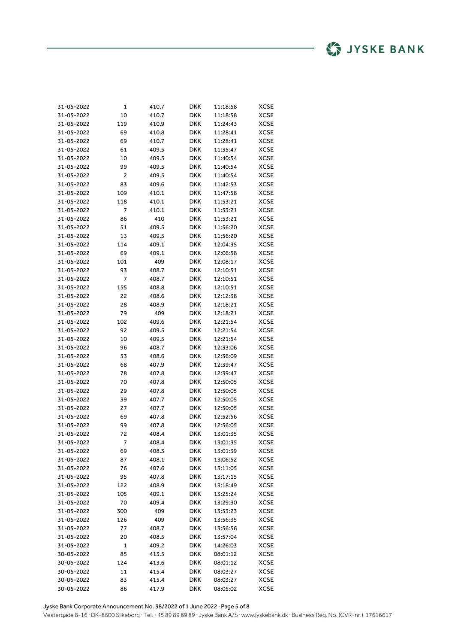| 31-05-2022 | 1   | 410.7 | DKK        | 11:18:58 | XCSE        |
|------------|-----|-------|------------|----------|-------------|
| 31-05-2022 | 10  | 410.7 | DKK        | 11:18:58 | XCSE        |
| 31-05-2022 | 119 | 410.9 | DKK        | 11:24:43 | XCSE        |
| 31-05-2022 | 69  | 410.8 | DKK        | 11:28:41 | XCSE        |
| 31-05-2022 | 69  | 410.7 | DKK        | 11:28:41 | XCSE        |
| 31-05-2022 | 61  | 409.5 | DKK        | 11:35:47 | XCSE        |
| 31-05-2022 | 10  | 409.5 | DKK        | 11:40:54 | XCSE        |
| 31-05-2022 | 99  | 409.5 | DKK        | 11:40:54 | XCSE        |
| 31-05-2022 | 2   | 409.5 | DKK        | 11:40:54 | XCSE        |
| 31-05-2022 | 83  | 409.6 | DKK        | 11:42:53 | XCSE        |
| 31-05-2022 | 109 | 410.1 | DKK        | 11:47:58 | XCSE        |
| 31-05-2022 | 118 | 410.1 | DKK        | 11:53:21 | <b>XCSE</b> |
| 31-05-2022 | 7   | 410.1 | DKK        | 11:53:21 | XCSE        |
| 31-05-2022 | 86  | 410   | DKK        | 11:53:21 | XCSE        |
| 31-05-2022 | 51  | 409.5 | DKK        | 11:56:20 | XCSE        |
| 31-05-2022 | 13  | 409.5 | DKK        | 11:56:20 | XCSE        |
| 31-05-2022 | 114 | 409.1 | DKK        | 12:04:35 | XCSE        |
| 31-05-2022 | 69  | 409.1 | DKK        | 12:06:58 | XCSE        |
| 31-05-2022 | 101 | 409   | DKK        | 12:08:17 | XCSE        |
| 31-05-2022 | 93  | 408.7 | DKK        | 12:10:51 | XCSE        |
| 31-05-2022 | 7   | 408.7 | DKK        | 12:10:51 | XCSE        |
| 31-05-2022 | 155 | 408.8 | DKK        | 12:10:51 | XCSE        |
| 31-05-2022 | 22  | 408.6 | DKK        | 12:12:38 | XCSE        |
| 31-05-2022 | 28  | 408.9 | DKK        | 12:18:21 | XCSE        |
| 31-05-2022 | 79  | 409   | DKK        | 12:18:21 | XCSE        |
| 31-05-2022 | 102 | 409.6 | DKK        | 12:21:54 | XCSE        |
| 31-05-2022 | 92  | 409.5 | DKK        | 12:21:54 | XCSE        |
| 31-05-2022 | 10  | 409.5 | DKK        | 12:21:54 | XCSE        |
| 31-05-2022 | 96  | 408.7 | DKK        | 12:33:06 | XCSE        |
| 31-05-2022 | 53  | 408.6 | DKK        | 12:36:09 | XCSE        |
| 31-05-2022 | 68  | 407.9 | DKK        | 12:39:47 | XCSE        |
| 31-05-2022 | 78  | 407.8 | DKK        | 12:39:47 | XCSE        |
| 31-05-2022 | 70  | 407.8 | DKK        | 12:50:05 | XCSE        |
| 31-05-2022 | 29  | 407.8 | DKK        | 12:50:05 | XCSE        |
| 31-05-2022 | 39  | 407.7 | DKK        | 12:50:05 | XCSE        |
| 31-05-2022 | 27  | 407.7 | DKK        | 12:50:05 | XCSE        |
| 31-05-2022 | 69  | 407.8 | DKK        | 12:52:56 | XCSE        |
| 31-05-2022 | 99  | 407.8 | DKK        | 12:56:05 | XCSE        |
| 31-05-2022 | 72  | 408.4 | DKK        | 13:01:35 | XCSE        |
| 31-05-2022 | 7   | 408.4 | DKK        | 13:01:35 | <b>XCSE</b> |
| 31-05-2022 | 69  | 408.3 | DKK        | 13:01:39 | <b>XCSE</b> |
| 31-05-2022 | 87  | 408.1 | <b>DKK</b> | 13:06:52 | <b>XCSE</b> |
| 31-05-2022 | 76  | 407.6 | DKK        | 13:11:05 | XCSE        |
| 31-05-2022 | 95  | 407.8 | DKK        | 13:17:15 | XCSE        |
| 31-05-2022 | 122 | 408.9 | DKK        | 13:18:49 | XCSE        |
| 31-05-2022 | 105 | 409.1 | DKK        | 13:25:24 | XCSE        |
| 31-05-2022 | 70  | 409.4 | <b>DKK</b> | 13:29:30 | XCSE        |
| 31-05-2022 | 300 | 409   | DKK        | 13:53:23 | XCSE        |
| 31-05-2022 | 126 | 409   | DKK        | 13:56:35 | XCSE        |
| 31-05-2022 | 77  | 408.7 | DKK        | 13:56:56 | XCSE        |
| 31-05-2022 | 20  | 408.5 | DKK        | 13:57:04 | <b>XCSE</b> |
| 31-05-2022 | 1   | 409.2 | DKK        | 14:26:03 | <b>XCSE</b> |
| 30-05-2022 | 85  | 413.5 | <b>DKK</b> | 08:01:12 | XCSE        |
| 30-05-2022 | 124 | 413.6 | <b>DKK</b> | 08:01:12 | XCSE        |
| 30-05-2022 | 11  | 415.4 | DKK        | 08:03:27 | XCSE        |
| 30-05-2022 | 83  | 415.4 | DKK        | 08:03:27 | <b>XCSE</b> |
| 30-05-2022 | 86  | 417.9 | DKK        | 08:05:02 | XCSE        |

Jyske Bank Corporate Announcement No. 38/2022 of 1 June 2022 ∙ Page 5 of 8 Vestergade 8-16 ∙ DK-8600 Silkeborg ∙ Tel. +45 89 89 89 89 ∙ Jyske Bank A/S ∙ www.jyskebank.dk ∙ Business Reg. No. (CVR-nr.) 17616617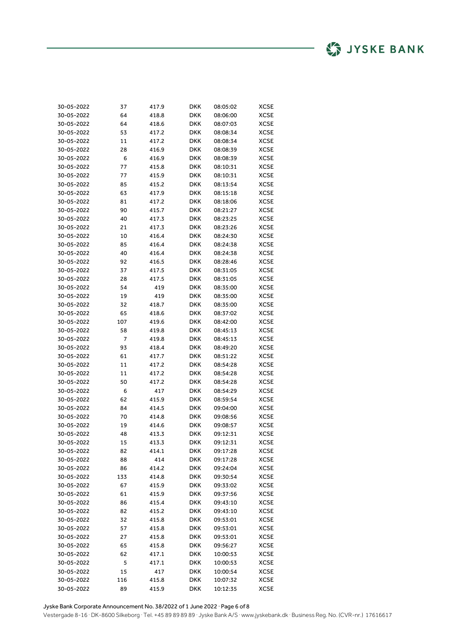| 30-05-2022 | 37  | 417.9 | DKK | 08:05:02 | XCSE        |
|------------|-----|-------|-----|----------|-------------|
| 30-05-2022 | 64  | 418.8 | DKK | 08:06:00 | XCSE        |
| 30-05-2022 | 64  | 418.6 | DKK | 08:07:03 | <b>XCSE</b> |
| 30-05-2022 | 53  | 417.2 | DKK | 08:08:34 | XCSE        |
| 30-05-2022 | 11  | 417.2 | DKK | 08:08:34 | XCSE        |
| 30-05-2022 | 28  | 416.9 | DKK | 08:08:39 | XCSE        |
| 30-05-2022 | 6   | 416.9 | DKK | 08:08:39 | XCSE        |
| 30-05-2022 | 77  | 415.8 | DKK | 08:10:31 | XCSE        |
| 30-05-2022 | 77  | 415.9 | DKK | 08:10:31 | XCSE        |
| 30-05-2022 | 85  | 415.2 | DKK | 08:13:54 | XCSE        |
| 30-05-2022 | 63  | 417.9 | DKK | 08:15:18 | XCSE        |
| 30-05-2022 | 81  | 417.2 | DKK | 08:18:06 | XCSE        |
| 30-05-2022 | 90  | 415.7 | DKK | 08:21:27 | XCSE        |
| 30-05-2022 | 40  | 417.3 | DKK | 08:23:25 | XCSE        |
| 30-05-2022 | 21  | 417.3 | DKK | 08:23:26 | XCSE        |
| 30-05-2022 | 10  | 416.4 | DKK | 08:24:30 | XCSE        |
| 30-05-2022 | 85  | 416.4 | DKK | 08:24:38 | XCSE        |
| 30-05-2022 | 40  | 416.4 | DKK | 08:24:38 | XCSE        |
| 30-05-2022 | 92  | 416.5 | DKK | 08:28:46 | XCSE        |
| 30-05-2022 | 37  | 417.5 | DKK | 08:31:05 | XCSE        |
| 30-05-2022 | 28  | 417.5 | DKK | 08:31:05 | <b>XCSE</b> |
| 30-05-2022 | 54  | 419   | DKK | 08:35:00 | XCSE        |
| 30-05-2022 | 19  | 419   | DKK | 08:35:00 | XCSE        |
| 30-05-2022 | 32  | 418.7 | DKK | 08:35:00 | XCSE        |
| 30-05-2022 | 65  | 418.6 | DKK | 08:37:02 | XCSE        |
| 30-05-2022 | 107 | 419.6 | DKK | 08:42:00 | <b>XCSE</b> |
| 30-05-2022 | 58  | 419.8 | DKK | 08:45:13 | XCSE        |
| 30-05-2022 | 7   | 419.8 | DKK | 08:45:13 | XCSE        |
| 30-05-2022 | 93  | 418.4 | DKK | 08:49:20 | XCSE        |
| 30-05-2022 | 61  | 417.7 | DKK | 08:51:22 | XCSE        |
| 30-05-2022 | 11  | 417.2 | DKK | 08:54:28 | XCSE        |
| 30-05-2022 | 11  | 417.2 | DKK | 08:54:28 | XCSE        |
| 30-05-2022 | 50  | 417.2 | DKK | 08:54:28 | XCSE        |
| 30-05-2022 | 6   | 417   | DKK | 08:54:29 | XCSE        |
| 30-05-2022 | 62  | 415.9 | DKK | 08:59:54 | XCSE        |
| 30-05-2022 | 84  | 414.5 | DKK | 09:04:00 | XCSE        |
| 30-05-2022 | 70  | 414.8 | DKK | 09:08:56 | <b>XCSE</b> |
| 30-05-2022 | 19  | 414.6 | DKK | 09:08:57 | <b>XCSE</b> |
| 30-05-2022 | 48  | 413.3 | DKK | 09:12:31 | <b>XCSE</b> |
| 30-05-2022 | 15  | 413.3 | DKK | 09:12:31 | <b>XCSE</b> |
| 30-05-2022 | 82  | 414.1 | DKK | 09:17:28 | <b>XCSE</b> |
| 30-05-2022 | 88  | 414   | DKK | 09:17:28 | <b>XCSE</b> |
| 30-05-2022 | 86  | 414.2 | DKK | 09:24:04 | <b>XCSE</b> |
| 30-05-2022 | 133 | 414.8 | DKK | 09:30:54 | <b>XCSE</b> |
| 30-05-2022 | 67  | 415.9 | DKK | 09:33:02 | <b>XCSE</b> |
| 30-05-2022 | 61  | 415.9 | DKK | 09:37:56 | <b>XCSE</b> |
| 30-05-2022 | 86  | 415.4 | DKK | 09:43:10 | <b>XCSE</b> |
| 30-05-2022 | 82  | 415.2 | DKK | 09:43:10 | <b>XCSE</b> |
| 30-05-2022 | 32  | 415.8 | DKK | 09:53:01 | <b>XCSE</b> |
| 30-05-2022 | 57  | 415.8 | DKK | 09:53:01 | <b>XCSE</b> |
| 30-05-2022 | 27  | 415.8 | DKK | 09:53:01 | <b>XCSE</b> |
| 30-05-2022 | 65  | 415.8 | DKK | 09:56:27 | <b>XCSE</b> |
| 30-05-2022 | 62  | 417.1 | DKK | 10:00:53 | <b>XCSE</b> |
| 30-05-2022 | 5   | 417.1 | DKK | 10:00:53 | <b>XCSE</b> |
| 30-05-2022 | 15  | 417   | DKK | 10:00:54 | <b>XCSE</b> |
| 30-05-2022 | 116 | 415.8 | DKK | 10:07:32 | <b>XCSE</b> |
| 30-05-2022 | 89  | 415.9 | DKK | 10:12:35 | XCSE        |

Jyske Bank Corporate Announcement No. 38/2022 of 1 June 2022 ∙ Page 6 of 8 Vestergade 8-16 ∙ DK-8600 Silkeborg ∙ Tel. +45 89 89 89 89 ∙ Jyske Bank A/S ∙ www.jyskebank.dk ∙ Business Reg. No. (CVR-nr.) 17616617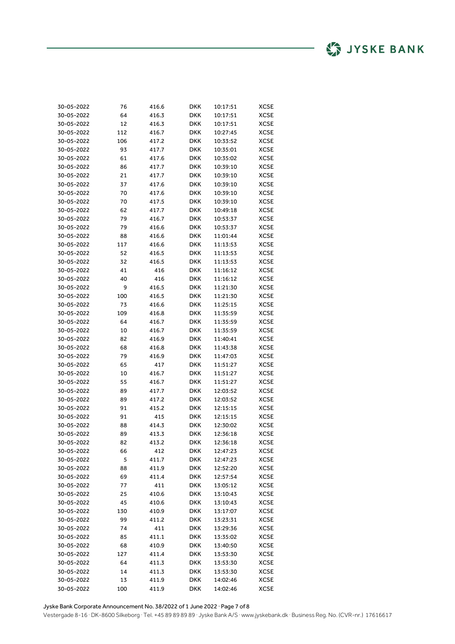| 30-05-2022 | 76  | 416.6 | DKK        | 10:17:51 | XCSE        |
|------------|-----|-------|------------|----------|-------------|
| 30-05-2022 | 64  | 416.3 | DKK        | 10:17:51 | XCSE        |
| 30-05-2022 | 12  | 416.3 | DKK        | 10:17:51 | XCSE        |
| 30-05-2022 | 112 | 416.7 | DKK        | 10:27:45 | XCSE        |
| 30-05-2022 | 106 | 417.2 | DKK        | 10:33:52 | XCSE        |
| 30-05-2022 | 93  | 417.7 | DKK        | 10:35:01 | XCSE        |
| 30-05-2022 | 61  | 417.6 | DKK        | 10:35:02 | XCSE        |
| 30-05-2022 | 86  | 417.7 | DKK        | 10:39:10 | XCSE        |
| 30-05-2022 | 21  | 417.7 | DKK        | 10:39:10 | XCSE        |
| 30-05-2022 | 37  | 417.6 | DKK        | 10:39:10 | XCSE        |
| 30-05-2022 | 70  | 417.6 | DKK        | 10:39:10 | XCSE        |
| 30-05-2022 | 70  | 417.5 | DKK        | 10:39:10 | XCSE        |
| 30-05-2022 | 62  | 417.7 | DKK        | 10:49:18 | XCSE        |
| 30-05-2022 | 79  | 416.7 | DKK        | 10:53:37 | <b>XCSE</b> |
| 30-05-2022 | 79  | 416.6 | DKK        | 10:53:37 | XCSE        |
| 30-05-2022 | 88  | 416.6 | DKK        | 11:01:44 | <b>XCSE</b> |
| 30-05-2022 | 117 | 416.6 | DKK        | 11:13:53 | XCSE        |
| 30-05-2022 | 52  | 416.5 | DKK        | 11:13:53 | XCSE        |
| 30-05-2022 | 32  | 416.5 | DKK        | 11:13:53 | XCSE        |
| 30-05-2022 | 41  | 416   | DKK        | 11:16:12 | XCSE        |
| 30-05-2022 | 40  | 416   | DKK        | 11:16:12 | XCSE        |
| 30-05-2022 | 9   | 416.5 | DKK        | 11:21:30 | XCSE        |
| 30-05-2022 | 100 | 416.5 | DKK        | 11:21:30 | XCSE        |
| 30-05-2022 | 73  | 416.6 | DKK        | 11:25:15 | XCSE        |
| 30-05-2022 | 109 | 416.8 | DKK        | 11:35:59 | XCSE        |
| 30-05-2022 | 64  | 416.7 | DKK        | 11:35:59 | XCSE        |
| 30-05-2022 | 10  | 416.7 | DKK        | 11:35:59 | XCSE        |
| 30-05-2022 | 82  | 416.9 | DKK        | 11:40:41 | XCSE        |
| 30-05-2022 | 68  | 416.8 | <b>DKK</b> | 11:43:38 | XCSE        |
| 30-05-2022 | 79  | 416.9 | DKK        | 11:47:03 | <b>XCSE</b> |
| 30-05-2022 | 65  | 417   | DKK        | 11:51:27 | XCSE        |
| 30-05-2022 | 10  | 416.7 | DKK        | 11:51:27 | XCSE        |
| 30-05-2022 | 55  | 416.7 | DKK        | 11:51:27 | XCSE        |
| 30-05-2022 | 89  | 417.7 | DKK        | 12:03:52 | XCSE        |
| 30-05-2022 | 89  | 417.2 | DKK        | 12:03:52 | XCSE        |
| 30-05-2022 | 91  | 415.2 | DKK        | 12:15:15 | XCSE        |
| 30-05-2022 | 91  | 415   | <b>DKK</b> | 12:15:15 | XCSE        |
| 30-05-2022 | 88  | 414.3 | DKK        | 12:30:02 | XCSE        |
| 30-05-2022 | 89  | 413.3 | DKK        | 12:36:18 | XCSE        |
| 30-05-2022 | 82  | 413.2 | DKK        | 12:36:18 | XCSE        |
| 30-05-2022 | 66  | 412   | DKK        | 12:47:23 | XCSE        |
| 30-05-2022 | 5   | 411.7 | <b>DKK</b> | 12:47:23 | <b>XCSE</b> |
| 30-05-2022 | 88  | 411.9 | DKK        | 12:52:20 | <b>XCSE</b> |
| 30-05-2022 | 69  | 411.4 | DKK        | 12:57:54 | <b>XCSE</b> |
| 30-05-2022 | 77  | 411   | <b>DKK</b> | 13:05:12 | <b>XCSE</b> |
| 30-05-2022 | 25  | 410.6 | <b>DKK</b> | 13:10:43 | XCSE        |
| 30-05-2022 | 45  | 410.6 | <b>DKK</b> | 13:10:43 | XCSE        |
| 30-05-2022 | 130 | 410.9 | DKK        | 13:17:07 | XCSE        |
| 30-05-2022 | 99  | 411.2 | <b>DKK</b> | 13:23:31 | XCSE        |
| 30-05-2022 | 74  | 411   | <b>DKK</b> | 13:29:36 | XCSE        |
| 30-05-2022 | 85  | 411.1 | DKK        | 13:35:02 | <b>XCSE</b> |
| 30-05-2022 | 68  | 410.9 | DKK        | 13:40:50 | <b>XCSE</b> |
| 30-05-2022 | 127 | 411.4 | <b>DKK</b> | 13:53:30 | XCSE        |
| 30-05-2022 | 64  | 411.3 | <b>DKK</b> | 13:53:30 | XCSE        |
| 30-05-2022 | 14  | 411.3 | DKK        | 13:53:30 | XCSE        |
| 30-05-2022 | 13  | 411.9 | DKK        | 14:02:46 | <b>XCSE</b> |
| 30-05-2022 | 100 | 411.9 | DKK        | 14:02:46 | XCSE        |

Jyske Bank Corporate Announcement No. 38/2022 of 1 June 2022 ∙ Page 7 of 8 Vestergade 8-16 ∙ DK-8600 Silkeborg ∙ Tel. +45 89 89 89 89 ∙ Jyske Bank A/S ∙ www.jyskebank.dk ∙ Business Reg. No. (CVR-nr.) 17616617